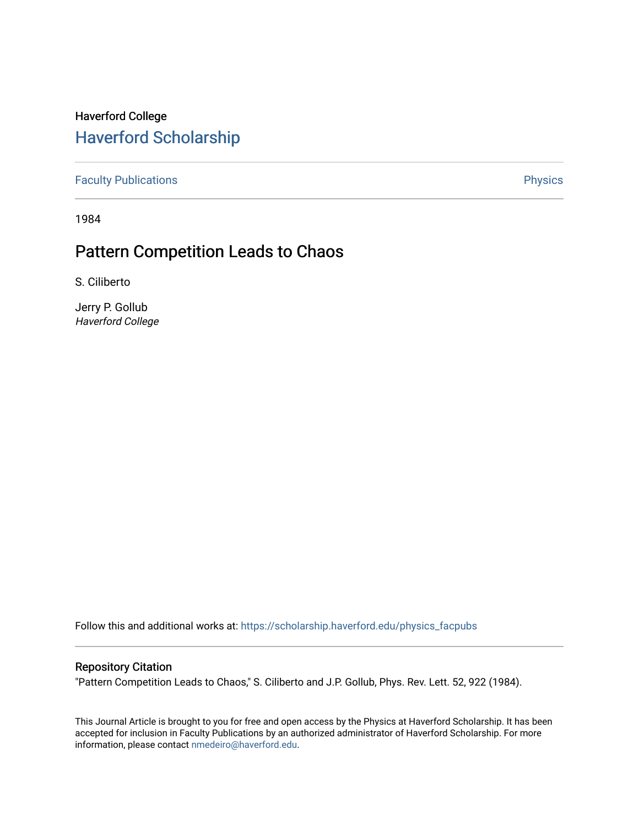## Haverford College [Haverford Scholarship](https://scholarship.haverford.edu/)

[Faculty Publications](https://scholarship.haverford.edu/physics_facpubs) **Physics** 

1984

## Pattern Competition Leads to Chaos

S. Ciliberto

Jerry P. Gollub Haverford College

Follow this and additional works at: [https://scholarship.haverford.edu/physics\\_facpubs](https://scholarship.haverford.edu/physics_facpubs?utm_source=scholarship.haverford.edu%2Fphysics_facpubs%2F258&utm_medium=PDF&utm_campaign=PDFCoverPages) 

## Repository Citation

"Pattern Competition Leads to Chaos," S. Ciliberto and J.P. Gollub, Phys. Rev. Lett. 52, 922 (1984).

This Journal Article is brought to you for free and open access by the Physics at Haverford Scholarship. It has been accepted for inclusion in Faculty Publications by an authorized administrator of Haverford Scholarship. For more information, please contact [nmedeiro@haverford.edu.](mailto:nmedeiro@haverford.edu)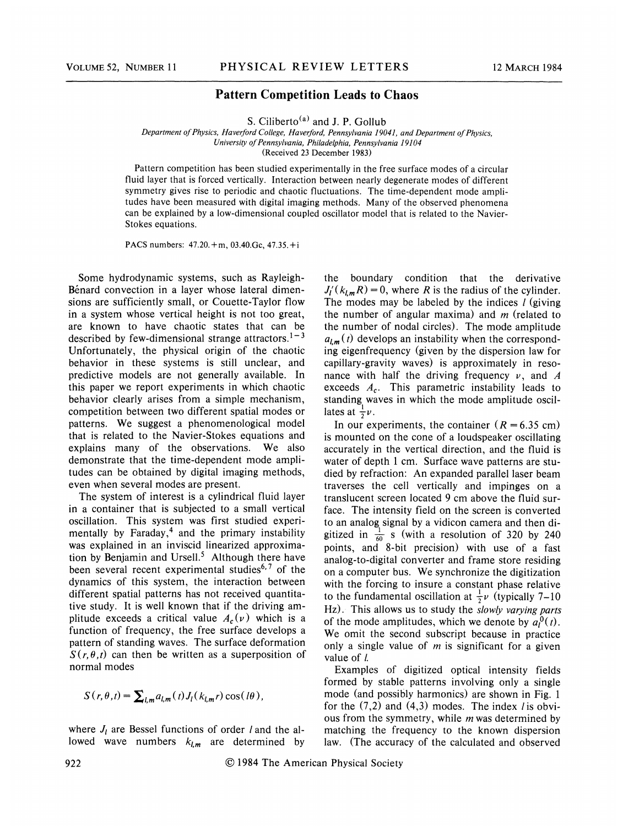## Pattern Competition Leads to Chaos

S. Ciliberto<sup>(a)</sup> and J. P. Gollub

Department of Physics, Haverford College, Haverford, Pennsylvania 19041, and Department of Physics, University of Pennsylvania, Philadelphia, Pennsylvania 19104 (Received 23 December 1983)

Pattern competition has been studied experimentally in the free surface modes of a circular fluid layer that is forced vertically. Interaction between nearly degenerate modes of different symmetry gives rise to periodic and chaotic fluctuations. The time-dependent mode amplitudes have been measured with digital imaging methods. Many of the observed phenomena can be explained by a low-dimensional coupled oscillator model that is related to the Navier-Stokes equations.

PACS numbers: 47.20.+m, 03.40.6c, 47.35.+i

Some hydrodynamic systems, such as Rayleigh-Bénard convection in a layer whose lateral dimensions are sufficiently small, or Couette-Taylor flow in a system whose vertical height is not too great, are known to have chaotic states that can be described by few-dimensional strange attractors.<sup>1-3</sup> Unfortunately, the physical origin of the chaotic behavior in these systems is still unclear, and predictive models are not generally available. In this paper we report experiments in which chaotic behavior clearly arises from a simple mechanism, competition between two different spatial modes or patterns. We suggest a phenomenological model that is related to the Navier-Stokes equations and explains many of the observations. We also demonstrate that the time-dependent mode amplitudes can be obtained by digital imaging methods, even when several modes are present.

The system of interest is a cylindrical fluid layer in a container that is subjected to a small vertical oscillation. This system was first studied experimentally by Faraday,<sup>4</sup> and the primary instabilit was explained in an inviscid linearized approximation by Benjamin and Ursell.<sup>5</sup> Although there have been several recent experimental studies<sup> $6,7$ </sup> of the dynamics of this system, the interaction between different spatial patterns has not received quantitative study. It is well known that if the driving amplitude exceeds a critical value  $A_c(v)$  which is a function of frequency, the free surface develops a pattern of standing waves. The surface deformation  $S(r, \theta, t)$  can then be written as a superposition of normal modes

$$
S(r,\theta,t) = \sum_{l,m} a_{l,m}(t) J_l(k_{l,m}r) \cos(l\theta),
$$

where  $J_l$  are Bessel functions of order l and the allowed wave numbers  $k_{lm}$  are determined by the boundary condition that the derivative  $J_l'(k_{l,m}R) = 0$ , where R is the radius of the cylinder. The modes may be labeled by the indices  $\ell$  (giving the number of angular maxima) and  $m$  (related to the number of nodal circles). The mode amplitude  $a_{lm}(t)$  develops an instability when the corresponding eigenfrequency (given by the dispersion law for capillary-gravity waves) is approximately in resonance with half the driving frequency  $\nu$ , and A exceeds  $A_c$ . This parametric instability leads to standing waves in which the mode amplitude oscillates at  $\frac{1}{2}\nu$ .

In our experiments, the container  $(R = 6.35$  cm) is mounted on the cone of a loudspeaker oscillating accurately in the vertical direction, and the fluid is water of depth 1 cm. Surface wave patterns are studied by refraction: An expanded parallel laser beam traverses the cell vertically and impinges on a translucent screen located 9 cm above the fluid surface. The intensity field on the screen is converted to an analog signal by a vidicon camera and then diface. The intensity field on the screen is converted<br>to an analog signal by a vidicon camera and then di-<br>gitized in  $\frac{1}{60}$  s (with a resolution of 320 by 240<br>points and 8-bit precision) with use of a fast points, and 8-bit precision) with use of a fast analog-to-digital converter and frame store residing on a computer bus. We synchronize the digitization with the forcing to insure a constant phase relative to the fundamental oscillation at  $\frac{1}{2}\nu$  (typically 7–10) Hz). This allows us to study the slowly varying parts of the mode amplitudes, which we denote by  $a_1^0(t)$ . We omit the second subscript because in practice only a single value of  $m$  is significant for a given value of  $l$ .

Examples of digitized optical intensity fields formed by stable patterns involving only a single mode (and possibly harmonics) are shown in Fig. 1 for the  $(7,2)$  and  $(4,3)$  modes. The index *l* is obvious from the symmetry, while  $m$  was determined by matching the frequency to the known dispersion law. (The accuracy of the calculated and observed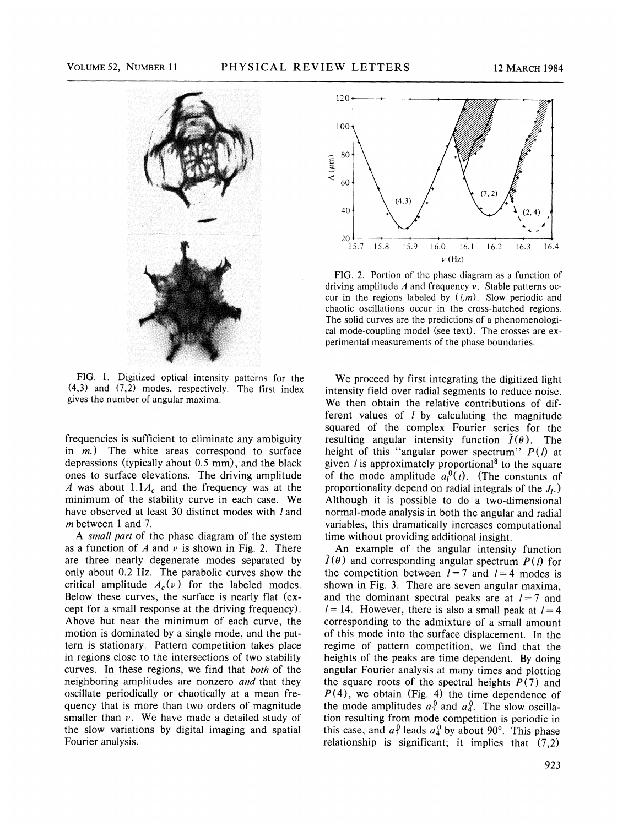

FIG. 1, Digitized optical intensity patterns for the (4,3) and (7,2) modes, respectively. The first index gives the number of angular maxima.

frequencies is sufficient to eliminate any ambiguity in  $m$ .) The white areas correspond to surface depressions (typically about 0.5 mm), and the black ones to surface elevations. The driving amplitude A was about  $1.1A_c$  and the frequency was at the minimum of the stability curve in each case. We have observed at least 30 distinct modes with l and m between 1 and 7.

A small part of the phase diagram of the system as a function of A and  $\nu$  is shown in Fig. 2. There are three nearly degenerate modes separated by only about 0.2 Hz. The parabolic curves show the critical amplitude  $A_c(v)$  for the labeled modes. Below these curves, the surface is nearly flat (except for a small response at the driving frequency). Above but near the minimum of each curve, the motion is dominated by a single mode, and the pattern is stationary. Pattern competition takes place in regions close to the intersections of two stability curves. In these regions, we find that both of the neighboring amplitudes are nonzero and that they oscillate periodically or chaotically at a mean frequency that is more than two orders of magnitude smaller than  $\nu$ . We have made a detailed study of the slow variations by digital imaging and spatial Fourier analysis.



FIG. 2. Portion of the phase diagram as a function of driving amplitude A and frequency  $\nu$ . Stable patterns occur in the regions labeled by  $(l,m)$ . Slow periodic and chaotic oscillations occur in the cross-hatched regions. The solid curves are the predictions of a phenomenological mode-coupling model (see text). The crosses are experimental measurements of the phase boundaries.

We proceed by first integrating the digitized light intensity field over radial segments to reduce noise. We then obtain the relative contributions of different values of  $l$  by calculating the magnitude squared of the complex Fourier series for the resulting angular intensity function  $\tilde{I}(\theta)$ . The height of this "angular power spectrum"  $P(l)$  at given  $l$  is approximately proportional<sup>8</sup> to the square of the mode amplitude  $a_1^0(t)$ . (The constants of proportionality depend on radial integrals of the  $J<sub>L</sub>$ .) Although it is possible to do a two-dimensional normal-mode analysis in both the angular and radial variables, this dramatically increases computational time without providing additional insight.

An example of the angular intensity function  $I(\theta)$  and corresponding angular spectrum  $P(\theta)$  for the competition between  $l = 7$  and  $l = 4$  modes is shown in Fig. 3. There are seven angular maxima, and the dominant spectral peaks are at  $l=7$  and  $l = 14$ . However, there is also a small peak at  $l = 4$ corresponding to the admixture of a small amount of this mode into the surface displacement. In the regime of pattern competition, we find that the heights of the peaks are time dependent. By doing angular Fourier analysis at many times and plotting the square roots of the spectral heights  $P(7)$  and  $P(4)$ , we obtain (Fig. 4) the time dependence of the mode amplitudes  $a_7^0$  and  $a_4^0$ . The slow oscillation resulting from mode competition is periodic in this case, and  $a_7^0$  leads  $a_4^0$  by about 90°. This phase relationship is significant; it implies that (7,2)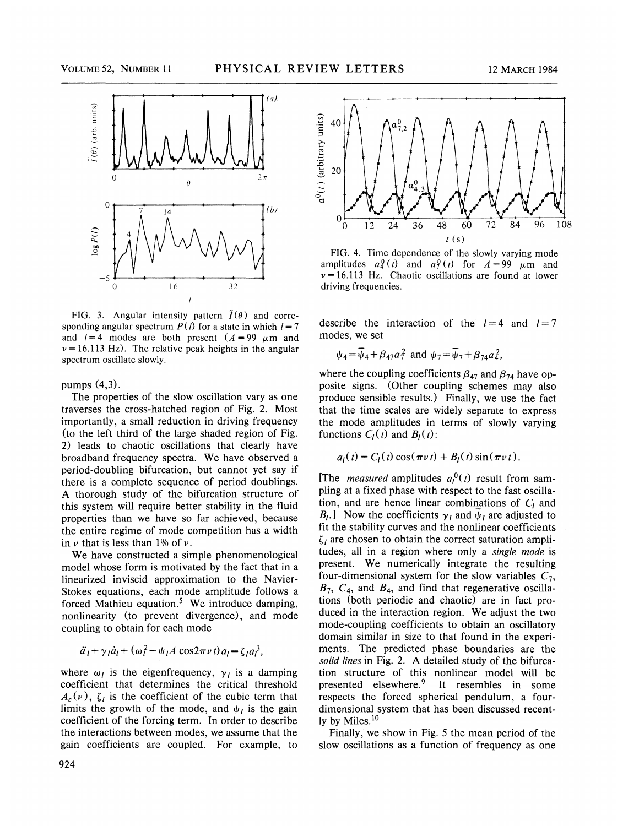

FIG. 3. Angular intensity pattern  $\tilde{I}(\theta)$  and corresponding angular spectrum  $P(l)$  for a state in which  $l = 7$ and  $l = 4$  modes are both present  $(A = 99 \mu m)$  and  $\nu = 16.113$  Hz). The relative peak heights in the angular spectrum oscillate slowly.

pumps  $(4,3)$ .

The properties of the slow oscillation vary as one traverses the cross-hatched region of Fig. 2. Most importantly, a small reduction in driving frequency (to the left third of the large shaded region of Fig. 2) leads to chaotic oscillations that clearly have broadband frequency spectra. We have observed a period-doubling bifurcation, but cannot yet say if there is a complete sequence of period doublings. A thorough study of the bifurcation structure of this system will require better stability in the fluid properties than we have so far achieved, because the entire regime of mode competition has a width in  $\nu$  that is less than 1% of  $\nu$ .

We have constructed a simple phenomenological model whose form is motivated by the fact that in a linearized inviscid approximation to the Navier-Stokes equations, each mode amplitude follows a forced Mathieu equation.<sup>5</sup> We introduce damping, nonlinearity (to prevent divergence), and mode coupling to obtain for each mode

$$
\ddot{a}_1 + \gamma_1 \dot{a}_1 + (\omega_1^2 - \psi_1 A \cos 2\pi \nu t) a_1 = \zeta_1 a_1^3
$$

where  $\omega_l$  is the eigenfrequency,  $\gamma_l$  is a damping coefficient that determines the critical threshold  $A_c(v)$ ,  $\zeta_i$  is the coefficient of the cubic term that limits the growth of the mode, and  $\psi_l$  is the gain coefficient of the forcing term. In order to describe the interactions between modes, we assume that the gain coefficients are coupled. For example, to



FIG. 4. Time dependence of the slowly varying mode amplitudes  $a_4^0(t)$  and  $a_7^0(t)$  for  $A=99$   $\mu$ m and  $\nu = 16.113$  Hz. Chaotic oscillations are found at lower driving frequencies.

describe the interaction of the  $l=4$  and  $l=7$ modes, we set

$$
\psi_4 = \overline{\psi}_4 + \beta_{47} a_7^2
$$
 and  $\psi_7 = \overline{\psi}_7 + \beta_{74} a_4^2$ ,

where the coupling coefficients  $\beta_{47}$  and  $\beta_{74}$  have opposite signs. (Other coupling schemes may also produce sensible results.) Finally, we use the fact that the time scales are widely separate to express the mode amplitudes in terms of slowly varying functions  $C_l(t)$  and  $B_l(t)$ :

$$
a_l(t) = C_l(t) \cos(\pi \nu t) + B_l(t) \sin(\pi \nu t).
$$

[The *measured* amplitudes  $a_l^0(t)$  result from sampling at a fixed phase with respect to the fast oscillation, and are hence linear combinations of  $C_l$  and  $B_l$ .] Now the coefficients  $\gamma_l$  and  $\bar{\psi}_l$  are adjusted to fit the stability curves and the nonlinear coefficients  $\zeta_l$  are chosen to obtain the correct saturation amplitudes, all in a region where only a *single mode* is present. We numerically integrate the resulting four-dimensional system for the slow variables  $C_7$ ,  $B_7$ ,  $C_4$ , and  $B_4$ , and find that regenerative oscillations (both periodic and chaotic) are in fact produced in the interaction region. We adjust the two mode-coupling coefficients to obtain an oscillatory domain similar in size to that found in the experiments. The predicted phase boundaries are the solid lines in Fig. 2. A detailed study of the bifurcation structure of this nonlinear model will be presented elsewhere.<sup>9</sup> It resembles in some respects the forced spherical pendulum, a fourdimensional system that has been discussed recently by Miles.<sup>10</sup>

Finally, we show in Fig. 5 the mean period of the slow oscillations as a function of frequency as one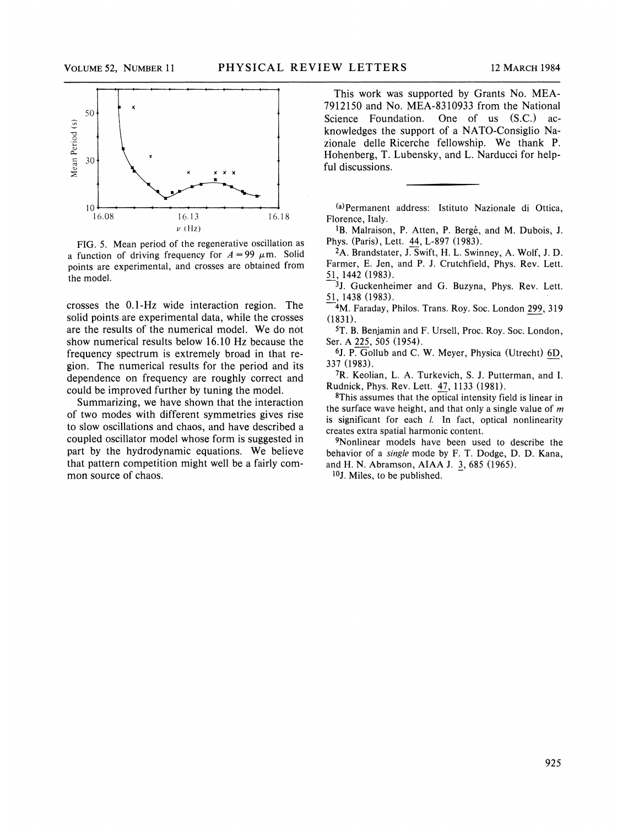

FIG. 5. Mean period of the regenerative oscillation as a function of driving frequency for  $A = 99 \mu m$ . Solid points are experimental, and crosses are obtained from the model.

crosses the 0.1-Hz wide interaction region. The solid points are experimental data, while the crosses are the results of the numerical model. We do not show numerical results below 16.10 Hz because the frequency spectrum is extremely broad in that region. The numerical results for the period and its dependence on frequency are roughly correct and could be improved further by tuning the model.

Summarizing, we have shown that the interaction of two modes with different symmetries gives rise to slow oscillations and chaos, and have described a coupled oscillator model whose form is suggested in part by the hydrodynamic equations. We believe that pattern competition might well be a fairly common source of chaos.

This work was supported by Grants No. MEA-7912150 and No. MEA-8310933 from the National Science Foundation. One of us  $(S.C.)$  acknowledges the support of a NATO-Consiglio Nazionale delle Ricerche fellowship. We thank P. Hohenberg, T. Lubensky, and L. Narducci for helpful discussions.

(a) Permanent address: Istituto Nazionale di Ottica, Florence, Italy.

<sup>1</sup>B. Malraison, P. Atten, P. Bergé, and M. Dubois, J. Phys. (Paris), Lett. 44, L-897 (1983).

2A. Brandstater, J. Swift, H. L. Swinney, A. Wolf, J. D. Farmer, E. Jen, and P. J. Crutchfield, Phys. Rev. Lett. 51, 1442 (1983).

<sup>3</sup>J. Guckenheimer and G. Buzyna, Phys. Rev. Lett. 51, 1438 (1983).

<sup>4</sup>M. Faraday, Philos. Trans. Roy. Soc. London 299, 319 (1831).

5T. B.Benjamin and F. Ursell, Proc. Roy. Soc. London, Ser. A 225, 505 (1954).

6J. P. Gollub and C. W. Meyer, Physica (Utrecht) 6D, 337 (1983).

7R. Keolian, L. A. Turkevich, S. J. Putterman, and I. Rudnick, Phys. Rev. Lett. 47, 1133 (1981).

8This assumes that the optical intensity field is linear in the surface wave height, and that only a single value of  $m$ is significant for each *l*. In fact, optical nonlinearity creates extra spatial harmonic content.

9Nonlinear models have been used to describe the behavior of a single mode by F. T. Dodge, D. D. Kana, and H. N. Abramson, AIAA J. 3, 685 (1965).

 $10$ J. Miles, to be published.